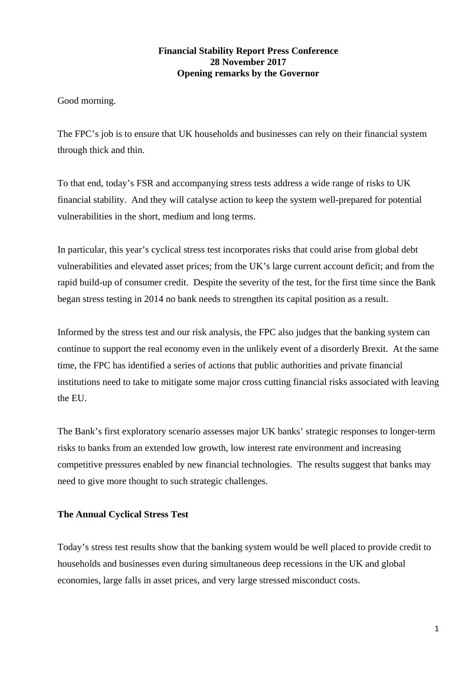## **Financial Stability Report Press Conference 28 November 2017 Opening remarks by the Governor**

Good morning.

The FPC's job is to ensure that UK households and businesses can rely on their financial system through thick and thin.

To that end, today's FSR and accompanying stress tests address a wide range of risks to UK financial stability. And they will catalyse action to keep the system well-prepared for potential vulnerabilities in the short, medium and long terms.

In particular, this year's cyclical stress test incorporates risks that could arise from global debt vulnerabilities and elevated asset prices; from the UK's large current account deficit; and from the rapid build-up of consumer credit. Despite the severity of the test, for the first time since the Bank began stress testing in 2014 no bank needs to strengthen its capital position as a result.

Informed by the stress test and our risk analysis, the FPC also judges that the banking system can continue to support the real economy even in the unlikely event of a disorderly Brexit. At the same time, the FPC has identified a series of actions that public authorities and private financial institutions need to take to mitigate some major cross cutting financial risks associated with leaving the EU.

The Bank's first exploratory scenario assesses major UK banks' strategic responses to longer-term risks to banks from an extended low growth, low interest rate environment and increasing competitive pressures enabled by new financial technologies. The results suggest that banks may need to give more thought to such strategic challenges.

## **The Annual Cyclical Stress Test**

Today's stress test results show that the banking system would be well placed to provide credit to households and businesses even during simultaneous deep recessions in the UK and global economies, large falls in asset prices, and very large stressed misconduct costs.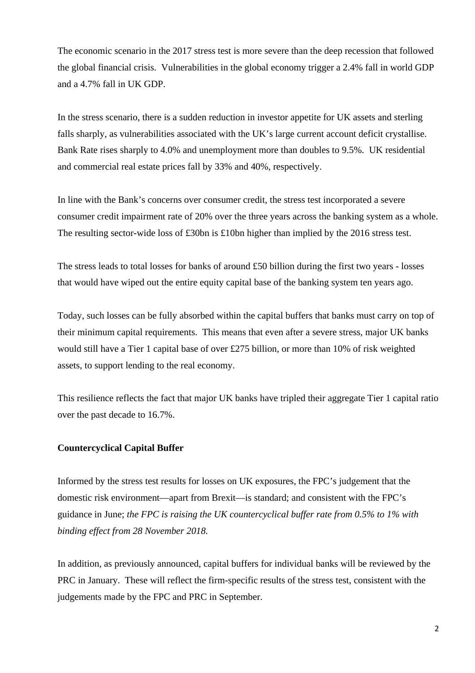The economic scenario in the 2017 stress test is more severe than the deep recession that followed the global financial crisis. Vulnerabilities in the global economy trigger a 2.4% fall in world GDP and a 4.7% fall in UK GDP.

In the stress scenario, there is a sudden reduction in investor appetite for UK assets and sterling falls sharply, as vulnerabilities associated with the UK's large current account deficit crystallise. Bank Rate rises sharply to 4.0% and unemployment more than doubles to 9.5%. UK residential and commercial real estate prices fall by 33% and 40%, respectively.

In line with the Bank's concerns over consumer credit, the stress test incorporated a severe consumer credit impairment rate of 20% over the three years across the banking system as a whole. The resulting sector-wide loss of £30bn is £10bn higher than implied by the 2016 stress test.

The stress leads to total losses for banks of around £50 billion during the first two years - losses that would have wiped out the entire equity capital base of the banking system ten years ago.

Today, such losses can be fully absorbed within the capital buffers that banks must carry on top of their minimum capital requirements. This means that even after a severe stress, major UK banks would still have a Tier 1 capital base of over £275 billion, or more than 10% of risk weighted assets, to support lending to the real economy.

This resilience reflects the fact that major UK banks have tripled their aggregate Tier 1 capital ratio over the past decade to 16.7%.

## **Countercyclical Capital Buffer**

Informed by the stress test results for losses on UK exposures, the FPC's judgement that the domestic risk environment—apart from Brexit—is standard; and consistent with the FPC's guidance in June; *the FPC is raising the UK countercyclical buffer rate from 0.5% to 1% with binding effect from 28 November 2018.*

In addition, as previously announced, capital buffers for individual banks will be reviewed by the PRC in January. These will reflect the firm-specific results of the stress test, consistent with the judgements made by the FPC and PRC in September.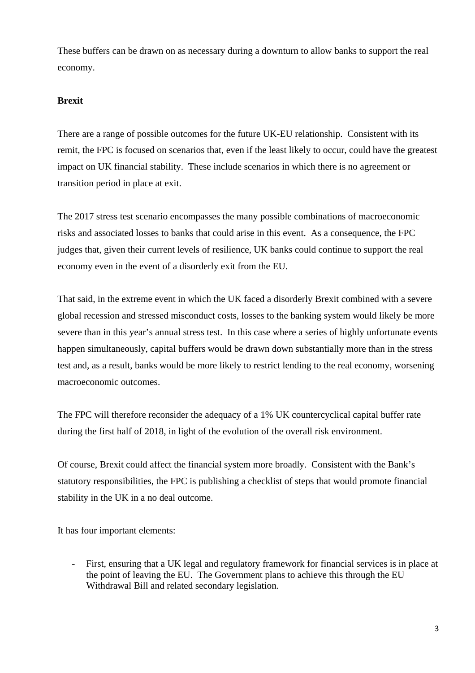These buffers can be drawn on as necessary during a downturn to allow banks to support the real economy.

#### **Brexit**

There are a range of possible outcomes for the future UK-EU relationship. Consistent with its remit, the FPC is focused on scenarios that, even if the least likely to occur, could have the greatest impact on UK financial stability. These include scenarios in which there is no agreement or transition period in place at exit.

The 2017 stress test scenario encompasses the many possible combinations of macroeconomic risks and associated losses to banks that could arise in this event. As a consequence, the FPC judges that, given their current levels of resilience, UK banks could continue to support the real economy even in the event of a disorderly exit from the EU.

That said, in the extreme event in which the UK faced a disorderly Brexit combined with a severe global recession and stressed misconduct costs, losses to the banking system would likely be more severe than in this year's annual stress test. In this case where a series of highly unfortunate events happen simultaneously, capital buffers would be drawn down substantially more than in the stress test and, as a result, banks would be more likely to restrict lending to the real economy, worsening macroeconomic outcomes.

The FPC will therefore reconsider the adequacy of a 1% UK countercyclical capital buffer rate during the first half of 2018, in light of the evolution of the overall risk environment.

Of course, Brexit could affect the financial system more broadly. Consistent with the Bank's statutory responsibilities, the FPC is publishing a checklist of steps that would promote financial stability in the UK in a no deal outcome.

It has four important elements:

- First, ensuring that a UK legal and regulatory framework for financial services is in place at the point of leaving the EU. The Government plans to achieve this through the EU Withdrawal Bill and related secondary legislation.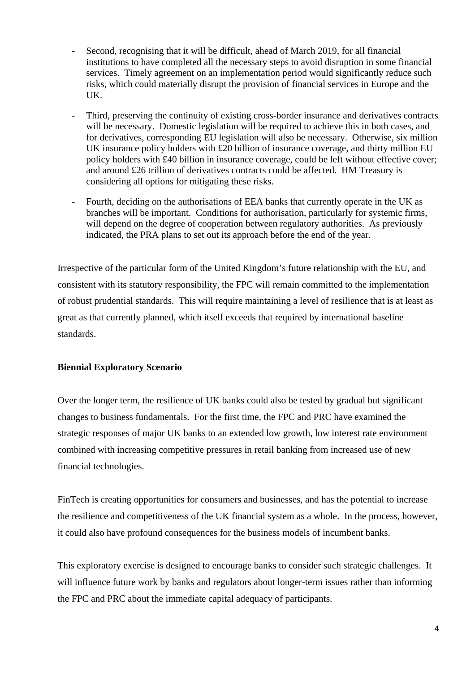- Second, recognising that it will be difficult, ahead of March 2019, for all financial institutions to have completed all the necessary steps to avoid disruption in some financial services. Timely agreement on an implementation period would significantly reduce such risks, which could materially disrupt the provision of financial services in Europe and the UK.
- Third, preserving the continuity of existing cross-border insurance and derivatives contracts will be necessary. Domestic legislation will be required to achieve this in both cases, and for derivatives, corresponding EU legislation will also be necessary. Otherwise, six million UK insurance policy holders with £20 billion of insurance coverage, and thirty million EU policy holders with £40 billion in insurance coverage, could be left without effective cover; and around £26 trillion of derivatives contracts could be affected. HM Treasury is considering all options for mitigating these risks.
- Fourth, deciding on the authorisations of EEA banks that currently operate in the UK as branches will be important. Conditions for authorisation, particularly for systemic firms, will depend on the degree of cooperation between regulatory authorities. As previously indicated, the PRA plans to set out its approach before the end of the year.

Irrespective of the particular form of the United Kingdom's future relationship with the EU, and consistent with its statutory responsibility, the FPC will remain committed to the implementation of robust prudential standards. This will require maintaining a level of resilience that is at least as great as that currently planned, which itself exceeds that required by international baseline standards.

## **Biennial Exploratory Scenario**

Over the longer term, the resilience of UK banks could also be tested by gradual but significant changes to business fundamentals. For the first time, the FPC and PRC have examined the strategic responses of major UK banks to an extended low growth, low interest rate environment combined with increasing competitive pressures in retail banking from increased use of new financial technologies.

FinTech is creating opportunities for consumers and businesses, and has the potential to increase the resilience and competitiveness of the UK financial system as a whole. In the process, however, it could also have profound consequences for the business models of incumbent banks.

This exploratory exercise is designed to encourage banks to consider such strategic challenges. It will influence future work by banks and regulators about longer-term issues rather than informing the FPC and PRC about the immediate capital adequacy of participants.